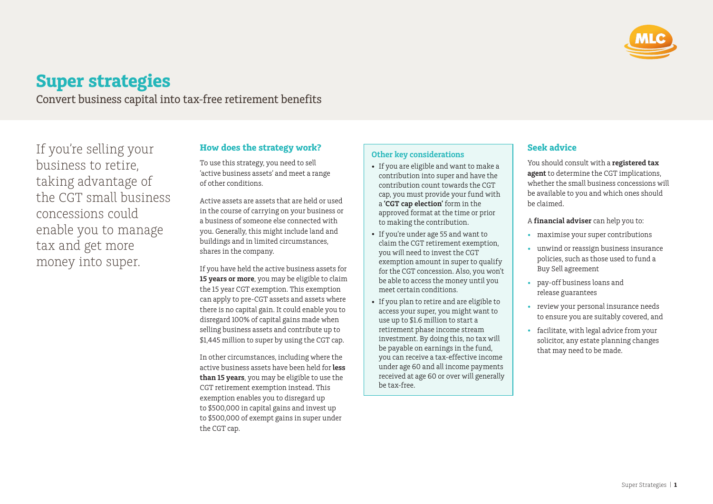

# **Super strategies**

Convert business capital into tax-free retirement benefits

If you're selling your business to retire, taking advantage of the CGT small business concessions could enable you to manage tax and get more money into super.

# **How does the strategy work?**

To use this strategy, you need to sell 'active business assets' and meet a range of other conditions.

Active assets are assets that are held or used in the course of carrying on your business or a business of someone else connected with you. Generally, this might include land and buildings and in limited circumstances, shares in the company.

If you have held the active business assets for **15 years or more**, you may be eligible to claim the 15 year CGT exemption. This exemption can apply to pre-CGT assets and assets where there is no capital gain. It could enable you to disregard 100% of capital gains made when selling business assets and contribute up to \$1,445 million to super by using the CGT cap.

In other circumstances, including where the active business assets have been held for **less than 15 years**, you may be eligible to use the CGT retirement exemption instead. This exemption enables you to disregard up to \$500,000 in capital gains and invest up to \$500,000 of exempt gains in super under the CGT cap.

### **Other key considerations**

- If you are eligible and want to make a contribution into super and have the contribution count towards the CGT cap, you must provide your fund with a **'CGT cap election'** form in the approved format at the time or prior to making the contribution.
- If you're under age 55 and want to claim the CGT retirement exemption, you will need to invest the CGT exemption amount in super to qualify for the CGT concession. Also, you won't be able to access the money until you meet certain conditions.
- If you plan to retire and are eligible to access your super, you might want to use up to \$1.6 million to start a retirement phase income stream investment. By doing this, no tax will be payable on earnings in the fund, you can receive a tax-effective income under age 60 and all income payments received at age 60 or over will generally be tax-free.

## **Seek advice**

You should consult with a **registered tax agent** to determine the CGT implications, whether the small business concessions will be available to you and which ones should be claimed.

- A **financial adviser** can help you to:
- maximise your super contributions
- unwind or reassign business insurance policies, such as those used to fund a Buy Sell agreement
- pay-off business loans and release guarantees
- review your personal insurance needs to ensure you are suitably covered, and
- facilitate, with legal advice from your solicitor, any estate planning changes that may need to be made.